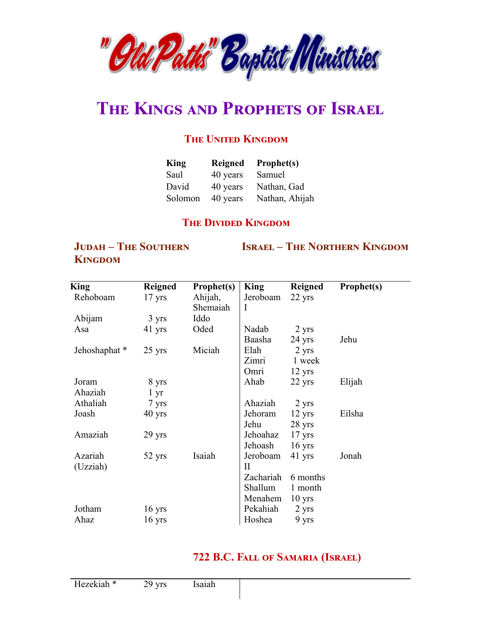

# **THE KINGS AND PROPHETS OF ISRAEL**

# **THE UNITED KINGDOM**

| <b>King</b> | <b>Reigned</b> | Prophet(s)     |
|-------------|----------------|----------------|
| Saul        | 40 years       | Samuel         |
| David       | 40 years       | Nathan, Gad    |
| Solomon     | 40 years       | Nathan, Ahijah |

#### **THE DIVIDED KINGDOM**

### **JUDAH - THE SOUTHERN KINGDOM**

#### **ISRAEL – THE NORTHERN KINGDOM**

| King         | <b>Reigned</b>   | Prophet(s) | <b>King</b> | <b>Reigned</b>   | Prophet(s) |
|--------------|------------------|------------|-------------|------------------|------------|
| Rehoboam     | $17 \text{ yrs}$ | Ahijah,    | Jeroboam    | 22 yrs           |            |
|              |                  | Shemaiah   | I           |                  |            |
| Abijam       | 3 yrs            | Iddo       |             |                  |            |
| Asa          | 41 yrs           | Oded       | Nadab       | 2 yrs            |            |
|              |                  |            | Baasha      | $24$ yrs         | Jehu       |
| Jehoshaphat* | $25 \text{ yrs}$ | Miciah     | Elah        | 2 yrs            |            |
|              |                  |            | Zimri       | 1 week           |            |
|              |                  |            | Omri        | $12 \text{ yrs}$ |            |
| Joram        | 8 yrs            |            | Ahab        | 22 yrs           | Elijah     |
| Ahaziah      | $1 \, yr$        |            |             |                  |            |
| Athaliah     | 7 yrs            |            | Ahaziah     | 2 yrs            |            |
| Joash        | $40 \text{ yrs}$ |            | Jehoram     | $12 \text{ yrs}$ | Eilsha     |
|              |                  |            | Jehu        | 28 yrs           |            |
| Amaziah      | $29$ yrs         |            | Jehoahaz    | $17 \text{ yrs}$ |            |
|              |                  |            | Jehoash     | $16$ yrs         |            |
| Azariah      | 52 yrs           | Isaiah     | Jeroboam    | 41 yrs           | Jonah      |
| (Uzziah)     |                  |            | $\rm II$    |                  |            |
|              |                  |            | Zachariah   | 6 months         |            |
|              |                  |            | Shallum     | 1 month          |            |
|              |                  |            | Menahem     | $10 \text{ yrs}$ |            |
| Jotham       | $16 \text{ yrs}$ |            | Pekahiah    | 2 yrs            |            |
| Ahaz         | $16 \text{ yrs}$ |            | Hoshea      | 9 yrs            |            |

# 722 B.C. FALL OF SAMARIA (ISRAEL)